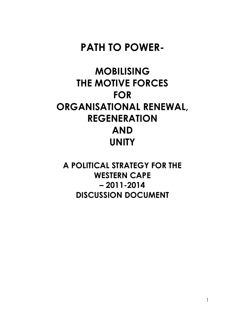# **PATH TO POWER-**

# **MOBILISING THE MOTIVE FORCES FOR ORGANISATIONAL RENEWAL, REGENERATION AND UNITY**

**A POLITICAL STRATEGY FOR THE WESTERN CAPE – 2011-2014 DISCUSSION DOCUMENT**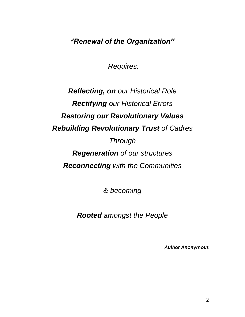*''Renewal of the Organization''*

 *Requires:* 

# *Reflecting, on our Historical Role Rectifying our Historical Errors Restoring our Revolutionary Values Rebuilding Revolutionary Trust of Cadres Through Regeneration of our structures Reconnecting with the Communities*

*& becoming* 

*Rooted amongst the People* 

*Author Anonymous*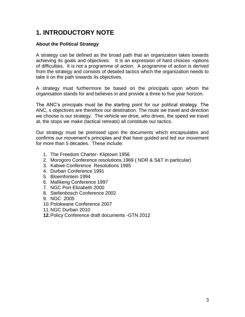## **1. INTRODUCTORY NOTE**

#### **About the Political Strategy**

A strategy can be defined as the broad path that an organization takes towards achieving its goals and objectives. It is an expression of hard choices -options of difficulties. It is not a programme of action. A programme of action is derived from the strategy and consists of detailed tactics which the organization needs to take it on the path towards its objectives.

A strategy must furthermore be based on the principals upon whom the organisation stands for and believes in and provide a three to five year horizon.

The ANC"s principals must be the starting point for our political strategy. The ANC, s objectives are therefore our destination. The route we travel and direction we choose is our strategy. The vehicle we drive, who drives, the speed we travel at, the stops we make (tactical retreats) all constitute our tactics.

Our strategy must be premised upon the documents which encapsulates and confirms our movement"s principles and that have guided and led our movement for more than 5 decades. These include:

- 1. The Freedom Charter- Kliptown 1956
- 2. Morogoro Conference resolutions 1969 ( NDR & S&T in particular)
- 3. Kabwe Conference Resolutions 1985
- 4. Durban Conference 1991
- 5. Bloemfontein 1994
- 6. Mafikeng Conference 1997
- 7. NGC Port Elizabeth 2000
- 8. Stellenbosch Conference 2002
- 9. NGC 2005
- 10. Polokwane Conference 2007
- 11. NGC Durban 2010
- **12.**Policy Conference draft documents -GTN 2012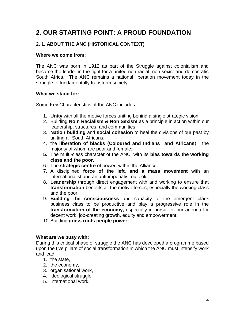# **2. OUR STARTING POINT: A PROUD FOUNDATION**

#### **2. 1. ABOUT THE ANC (HISTORICAL CONTEXT)**

#### **Where we come from:**

The ANC was born in 1912 as part of the Struggle against colonialism and became the leader in the fight for a united non racial, non sexist and democratic South Africa. The ANC remains a national liberation movement today in the struggle to fundamentally transform society.

#### **What we stand for:**

Some Key Characteristics of the ANC includes

- 1. **Unity** with all the motive forces uniting behind a single strategic vision
- 2. Building **No n Racialism & Non Sexism** as a principle in action within our leadership, structures, and communities
- 3. **Nation building** and **social cohesion** to heal the divisions of our past by uniting all South Africans.
- 4. the **liberation of blacks (Coloured and Indians and Africans**) , the majority of whom are poor and female;
- **5.** The multi-class character of the ANC, with its **bias towards the working class and the poor.**
- 6. The **strategic centre** of power, within the Alliance,
- 7. A disciplined **force of the left, and a mass movement** with an internationalist and an anti-imperialist outlook.
- 8. **Leadership** through direct engagement with and working to ensure that **transformation** benefits all the motive forces, especially the working class and the poor.
- 9. **Building the consciousness** and capacity of the emergent black business class to be productive and play a progressive role in the **transformation of the economy,** especially in pursuit of our agenda for decent work, job-creating growth, equity and empowerment.
- 10. Building **grass roots people power**

#### **What are we busy with:**

During this critical phase of struggle the ANC has developed a programme based upon the five pillars of social transformation in which the ANC must intensify work and lead:

- 1. the state,
- 2. the economy,
- 3. organisational work,
- 4. ideological struggle,
- 5. International work.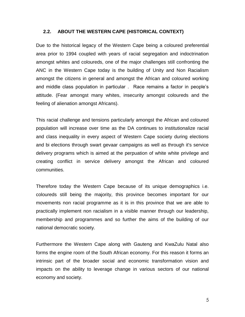#### **2.2. ABOUT THE WESTERN CAPE (HISTORICAL CONTEXT)**

Due to the historical legacy of the Western Cape being a coloured preferential area prior to 1994 coupled with years of racial segregation and indoctrination amongst whites and coloureds, one of the major challenges still confronting the ANC in the Western Cape today is the building of Unity and Non Racialism amongst the citizens in general and amongst the African and coloured working and middle class population in particular . Race remains a factor in people"s attitude. (Fear amongst many whites, insecurity amongst coloureds and the feeling of alienation amongst Africans).

This racial challenge and tensions particularly amongst the African and coloured population will increase over time as the DA continues to institutionalize racial and class inequality in every aspect of Western Cape society during elections and bi elections through swart gevaar campaigns as well as through it's service delivery programs which is aimed at the perpuation of white white privilege and creating conflict in service delivery amongst the African and coloured communities.

Therefore today the Western Cape because of its unique demographics i.e. coloureds still being the majority, this province becomes important for our movements non racial programme as it is in this province that we are able to practically implement non racialism in a visible manner through our leadership, membership and programmes and so further the aims of the building of our national democratic society.

Furthermore the Western Cape along with Gauteng and KwaZulu Natal also forms the engine room of the South African economy. For this reason it forms an intrinsic part of the broader social and economic transformation vision and impacts on the ability to leverage change in various sectors of our national economy and society.

5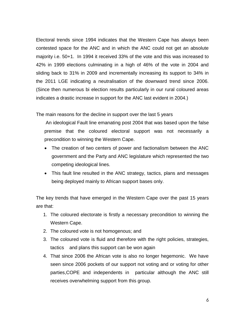Electoral trends since 1994 indicates that the Western Cape has always been contested space for the ANC and in which the ANC could not get an absolute majority i.e. 50+1. In 1994 it received 33% of the vote and this was increased to 42% in 1999 elections culminating in a high of 46% of the vote in 2004 and sliding back to 31% in 2009 and incrementally increasing its support to 34% in the 2011 LGE indicating a neutralisation of the downward trend since 2006. (Since then numerous bi election results particularly in our rural coloured areas indicates a drastic increase in support for the ANC last evident in 2004.)

The main reasons for the decline in support over the last 5 years

An ideological Fault line emanating post 2004 that was based upon the false premise that the coloured electoral support was not necessarily a precondition to winning the Western Cape.

- The creation of two centers of power and factionalism between the ANC government and the Party and ANC legislature which represented the two competing ideological lines.
- This fault line resulted in the ANC strategy, tactics, plans and messages being deployed mainly to African support bases only.

The key trends that have emerged in the Western Cape over the past 15 years are that:

- 1. The coloured electorate is firstly a necessary precondition to winning the Western Cape.
- 2. The coloured vote is not homogenous; and
- 3. The coloured vote is fluid and therefore with the right policies, strategies, tactics and plans this support can be won again
- 4. That since 2006 the African vote is also no longer hegemonic. We have seen since 2006 pockets of our support not voting and or voting for other parties,COPE and independents in particular although the ANC still receives overwhelming support from this group.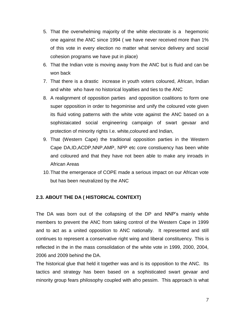- 5. That the overwhelming majority of the white electorate is a hegemonic one against the ANC since 1994 ( we have never received more than 1% of this vote in every election no matter what service delivery and social cohesion programs we have put in place)
- 6. That the Indian vote is moving away from the ANC but is fluid and can be won back
- 7. That there is a drastic increase in youth voters coloured, African, Indian and white who have no historical loyalties and ties to the ANC
- 8. A realignment of opposition parties and opposition coalitions to form one super opposition in order to hegominise and unify the coloured vote given its fluid voting patterns with the white vote against the ANC based on a sophistaicated social engineering campaign of swart gevaar and protection of minority rights I.e. white,coloured and Indian,
- 9. That (Western Cape) the traditional opposition parties in the Western Cape DA,ID,ACDP,NNP,AMP, NPP etc core constiuency has been white and coloured and that they have not been able to make any inroads in African Areas
- 10. That the emergenace of COPE made a serious impact on our African vote but has been neutralized by the ANC

#### **2.3. ABOUT THE DA ( HISTORICAL CONTEXT)**

The DA was born out of the collapsing of the DP and NNP"s mainly white members to prevent the ANC from taking control of the Western Cape in 1999 and to act as a united opposition to ANC nationally. It represented and still continues to represent a conservative right wing and liberal constituency. This is reflected in the in the mass consolidation of the white vote in 1999, 2000, 2004, 2006 and 2009 behind the DA.

The historical glue that held it together was and is its opposition to the ANC. Its tactics and strategy has been based on a sophisticated swart gevaar and minority group fears philosophy coupled with afro pessim. This approach is what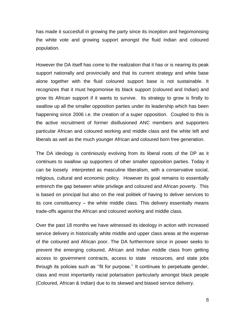has made it succesfull in growing the party since its inception and hegomonising the white vote and growing support amongst the fluid Indian and coloured population.

However the DA itself has come to the realization that it has or is nearing its peak support nationally and provincially and that its current strategy and white base alone together with the fluid coloured support base is not sustainable. It recognizes that it must hegomonise its black support (coloured and Indian) and grow its African support if it wants to survive. Its strategy to grow is firstly to swallow up all the smaller opposition parties under its leadership which has been happening since 2006 i.e. the creation of a super opposition. Coupled to this is the active recruitment of former disillusioned ANC members and supporters particular African and coloured working and middle class and the white left and liberals as well as the much younger African and coloured born free generation.

The DA ideology is continiously evolving from its liberal roots of the DP as it continues to swallow up supporters of other smaller opposition parties. Today it can be loosely interpreted as masculine liberalism, with a conservative social, religious, cultural and economic policy. However its goal remains to essentially entrench the gap between white privilege and coloured and African poverty. This is based on principal but also on the real politiek of having to deliver services to its core constituency – the white middle class. This delivery essentially means trade-offs against the African and coloured working and middle class.

Over the past 18 months we have witnessed its ideology in action with increased service delivery in historically white middle and upper class areas at the expense of the coloured and African poor. The DA furthermore since in power seeks to prevent the emerging coloured, African and Indian middle class from getting access to government contracts, access to state resources, and state jobs through its policies such as ""fit for purpose."" It continues to perpetuate gender, class and most importantly racial polarisation particularly amongst black people (Coloured, African & Indian) due to its skewed and biased service delivery.

8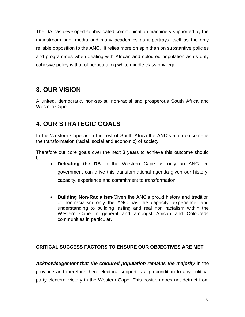The DA has developed sophisticated communication machinery supported by the mainstream print media and many academics as it portrays itself as the only reliable opposition to the ANC. It relies more on spin than on substantive policies and programmes when dealing with African and coloured population as its only cohesive policy is that of perpetuating white middle class privilege.

# **3. OUR VISION**

A united, democratic, non-sexist, non-racial and prosperous South Africa and Western Cape.

# **4. OUR STRATEGIC GOALS**

In the Western Cape as in the rest of South Africa the ANC"s main outcome is the transformation (racial, social and economic) of society.

Therefore our core goals over the next 3 years to achieve this outcome should be:

- **Defeating the DA** in the Western Cape as only an ANC led government can drive this transformational agenda given our history, capacity, experience and commitment to transformation.
- **Building Non-Racialism**-Given the ANC"s proud history and tradition of non-racialism only the ANC has the capacity, experience, and understanding to building lasting and real non racialism within the Western Cape in general and amongst African and Coloureds communities in particular.

### **CRITICAL SUCCESS FACTORS TO ENSURE OUR OBJECTIVES ARE MET**

*Acknowledgement that the coloured population remains the majority* in the province and therefore there electoral support is a precondition to any political party electoral victory in the Western Cape. This position does not detract from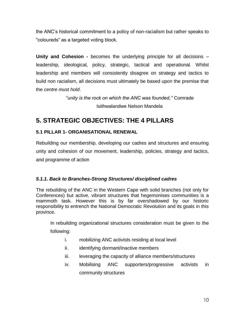the ANC"s historical commitment to a policy of non-racialism but rather speaks to "coloureds" as a targeted voting block.

**Unity and Cohesion -** becomes the underlying principle for all decisions – leadership, ideological, policy, strategic, tactical and operational. Whilst leadership and members will consistently disagree on strategy and tactics to build non racialism, all decisions must ultimately be based upon the premise that the *centre must hold*.

> *''unity is the rock on which the ANC was founded,''* Comrade Isithwalandwe Nelson Mandela

# **5. STRATEGIC OBJECTIVES: THE 4 PILLARS**

### **5.1 PILLAR 1- ORGANISATIONAL RENEWAL**

Rebuilding our membership, developing our cadres and structures and ensuring unity and cohesion of our movement, leadership, policies, strategy and tactics, and programme of action

#### *5.1.1. Back to Branches-Strong Structures/ disciplined cadres*

The rebuilding of the ANC in the Western Cape with solid branches (not only for Conferences) but active, vibrant structures that hegemonises communities is a mammoth task. However this is by far overshadowed by our historic responsibility to entrench the National Democratic Revolution and its goals in this province.

In rebuilding organizational structures consideration must be given to the following:

- i. mobilizing ANC activists residing at local level
- ii. identifying dormant/inactive members
- iii. leveraging the capacity of alliance members/structures
- iv. Mobilising ANC supporters/progressive activists in community structures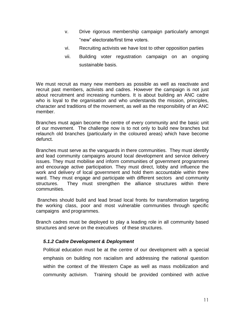- v. Drive rigorous membership campaign particularly amongst "new" electorate/first time voters.
- vi. Recruiting activists we have lost to other opposition parties
- vii. Building voter regustration campaign on an ongoing sustainable basis.

We must recruit as many new members as possible as well as reactivate and recruit past members, activists and cadres. However the campaign is not just about recruitment and increasing numbers. It is about building an ANC cadre who is loyal to the organisation and who understands the mission, principles, character and traditions of the movement, as well as the responsibility of an ANC member.

Branches must again become the centre of every community and the basic unit of our movement. The challenge now is to not only to build new branches but relaunch old branches (particularly in the coloured areas) which have become defunct.

Branches must serve as the vanguards in there communities. They must identify and lead community campaigns around local development and service delivery issues. They must mobilise and inform communities of government programmes and encourage active participation. They must direct, lobby and influence the work and delivery of local government and hold them accountable within there ward. They must engage and participate with different sectors and community structures. They must strengthen the alliance structures within there communities.

 Branches should build and lead broad local fronts for transformation targeting the working class, poor and most vulnerable communities through specific campaigns and programmes.

Branch cadres must be deployed to play a leading role in all community based structures and serve on the executives of these structures.

#### *5.1.2 Cadre Development & Deployment*

Political education must be at the centre of our development with a special emphasis on building non racialism and addressing the national question within the context of the Western Cape as well as mass mobilization and community activism. Training should be provided combined with active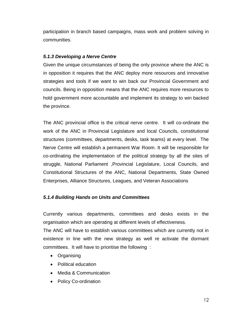participation in branch based campaigns, mass work and problem solving in communities.

#### *5.1.3 Developing a Nerve Centre*

Given the unique circumstances of being the only province where the ANC is in opposition it requires that the ANC deploy more resources and innovative strategies and tools if we want to win back our Provincial Government and councils. Being in opposition means that the ANC requires more resources to hold government more accountable and implement its strategy to win backed the province.

The ANC provincial office is the critical nerve centre. It will co-ordinate the work of the ANC in Provincial Legislature and local Councils, constitutional structures (committees, departments, desks, task teams) at every level. The Nerve Centre will establish a permanent War Room. It will be responsible for co-ordinating the implementation of the political strategy by all the sites of struggle, National Parliament ,Provincial Legislature, Local Councils, and Constitutional Structures of the ANC, National Departments, State Owned Enterprises, Alliance Structures, Leagues, and Veteran Associations

#### *5.1.4 Building Hands on Units and Committees*

Currently various departments, committees and desks exists in the organisation which are operating at different levels of effectiveness.

The ANC will have to establish various committees which are currently not in existence in line with the new strategy as well re activate the dormant committees. It will have to prioritise the following :

- Organising
- Political education
- Media & Communication
- Policy Co-ordination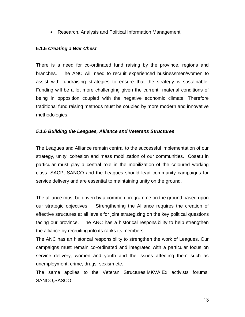Research, Analysis and Political Information Management

#### **5.1.5** *Creating a War Chest*

There is a need for co-ordinated fund raising by the province, regions and branches. The ANC will need to recruit experienced businessmen/women to assist with fundraising strategies to ensure that the strategy is sustainable. Funding will be a lot more challenging given the current material conditions of being in opposition coupled with the negative economic climate. Therefore traditional fund raising methods must be coupled by more modern and innovative methodologies.

#### *5.1.6 Building the Leagues, Alliance and Veterans Structures*

The Leagues and Alliance remain central to the successful implementation of our strategy, unity, cohesion and mass mobilization of our communities. Cosatu in particular must play a central role in the mobilization of the coloured working class. SACP, SANCO and the Leagues should lead community campaigns for service delivery and are essential to maintaining unity on the ground.

The alliance must be driven by a common programme on the ground based upon our strategic objectives. Strengthening the Alliance requires the creation of effective structures at all levels for joint strategizing on the key political questions facing our province. The ANC has a historical responsibility to help strengthen the alliance by recruiting into its ranks its members.

The ANC has an historical responsibility to strengthen the work of Leagues. Our campaigns must remain co-ordinated and integrated with a particular focus on service delivery, women and youth and the issues affecting them such as unemployment, crime, drugs, sexism etc.

The same applies to the Veteran Structures,MKVA,Ex activists forums, SANCO,SASCO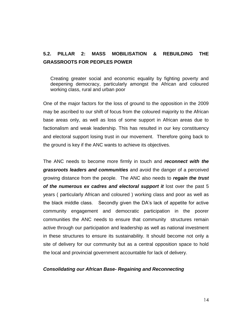### **5.2. PILLAR 2: MASS MOBILISATION & REBUILDING THE GRASSROOTS FOR PEOPLES POWER**

Creating greater social and economic equality by fighting poverty and deepening democracy, particularly amongst the African and coloured working class, rural and urban poor

One of the major factors for the loss of ground to the opposition in the 2009 may be ascribed to our shift of focus from the coloured majority to the African base areas only, as well as loss of some support in African areas due to factionalism and weak leadership. This has resulted in our key constituency and electoral support losing trust in our movement. Therefore going back to the ground is key if the ANC wants to achieve its objectives.

The ANC needs to become more firmly in touch and *reconnect with the grassroots leaders and communities* and avoid the danger of a perceived growing distance from the people. The ANC also needs to *regain the trust of the numerous ex cadres and electoral support it* lost over the past 5 years ( particularly African and coloured ) working class and poor as well as the black middle class. Secondly given the DA"s lack of appetite for active community engagement and democratic participation in the poorer communities the ANC needs to ensure that community structures remain active through our participation and leadership as well as national investment in these structures to ensure its sustainability. It should become not only a site of delivery for our community but as a central opposition space to hold the local and provincial government accountable for lack of delivery.

#### *Consolidating our African Base- Regaining and Reconnecting*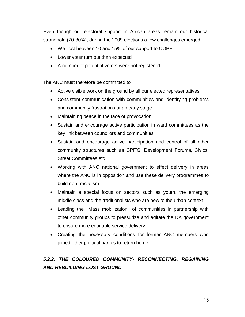Even though our electoral support in African areas remain our historical stronghold (70-80%), during the 2009 elections a few challenges emerged.

- We lost between 10 and 15% of our support to COPE
- Lower voter turn out than expected
- A number of potential voters were not registered

The ANC must therefore be committed to

- Active visible work on the ground by all our elected representatives
- Consistent communication with communities and identifying problems and community frustrations at an early stage
- Maintaining peace in the face of provocation
- Sustain and encourage active participation in ward committees as the key link between councilors and communities
- Sustain and encourage active participation and control of all other community structures such as CPF"S, Development Forums, Civics, Street Committees etc
- Working with ANC national government to effect delivery in areas where the ANC is in opposition and use these delivery programmes to build non- racialism
- Maintain a special focus on sectors such as youth, the emerging middle class and the traditionalists who are new to the urban context
- Leading the Mass mobilization of communities in partnership with other community groups to pressurize and agitate the DA government to ensure more equitable service delivery
- Creating the necessary conditions for former ANC members who joined other political parties to return home.

## *5.2.2. THE COLOURED COMMUNITY- RECONNECTING, REGAINING AND REBUILDING LOST GROUND*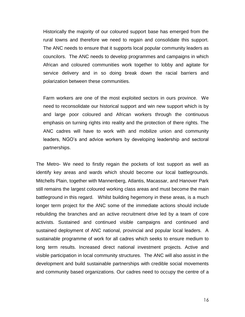Historically the majority of our coloured support base has emerged from the rural towns and therefore we need to regain and consolidate this support. The ANC needs to ensure that it supports local popular community leaders as councilors. The ANC needs to develop programmes and campaigns in which African and coloured communities work together to lobby and agitate for service delivery and in so doing break down the racial barriers and polarization between these communities.

Farm workers are one of the most exploited sectors in ours province. We need to reconsolidate our historical support and win new support which is by and large poor coloured and African workers through the continuous emphasis on turning rights into reality and the protection of there rights. The ANC cadres will have to work with and mobilize union and community leaders, NGO"s and advice workers by developing leadership and sectoral partnerships.

The Metro- We need to firstly regain the pockets of lost support as well as identify key areas and wards which should become our local battlegrounds. Mitchells Plain, together with Mannenberg, Atlantis, Macassar, and Hanover Park still remains the largest coloured working class areas and must become the main battleground in this regard. Whilst building hegemony in these areas, is a much longer term project for the ANC some of the immediate actions should include rebuilding the branches and an active recruitment drive led by a team of core activists. Sustained and continued visible campaigns and continued and sustained deployment of ANC national, provincial and popular local leaders. A sustainable programme of work for all cadres which seeks to ensure medium to long term results. Increased direct national investment projects. Active and visible participation in local community structures. The ANC will also assist in the development and build sustainable partnerships with credible social movements and community based organizations. Our cadres need to occupy the centre of a

16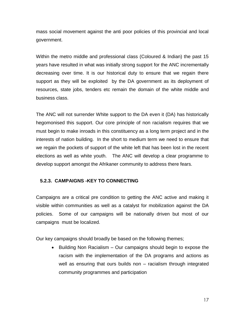mass social movement against the anti poor policies of this provincial and local government.

Within the metro middle and professional class (Coloured & Indian) the past 15 years have resulted in what was initially strong support for the ANC incrementally decreasing over time. It is our historical duty to ensure that we regain there support as they will be exploited by the DA government as its deployment of resources, state jobs, tenders etc remain the domain of the white middle and business class.

The ANC will not surrender White support to the DA even it (DA) has historically hegomonised this support. Our core principle of non racialism requires that we must begin to make inroads in this constituency as a long term project and in the interests of nation building. In the short to medium term we need to ensure that we regain the pockets of support of the white left that has been lost in the recent elections as well as white youth. The ANC will develop a clear programme to develop support amongst the Afrikaner community to address there fears.

#### **5.2.3. CAMPAIGNS -KEY TO CONNECTING**

Campaigns are a critical pre condition to getting the ANC active and making it visible within communities as well as a catalyst for mobilization against the DA policies. Some of our campaigns will be nationally driven but most of our campaigns must be localized.

Our key campaigns should broadly be based on the following themes;

• Building Non Racialism – Our campaigns should begin to expose the racism with the implementation of the DA programs and actions as well as ensuring that ours builds non – racialism through integrated community programmes and participation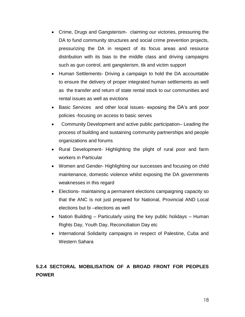- Crime, Drugs and Gangsterism- claiming our victories, pressuring the DA to fund community structures and social crime prevention projects, pressurizing the DA in respect of its focus areas and resource distribution with its bias to the middle class and driving campaigns such as gun control, anti gangsterism, tik and victim support
- Human Settlements- Driving a campaign to hold the DA accountable to ensure the delivery of proper integrated human settlements as well as the transfer and return of state rental stock to our communities and rental issues as well as evictions
- Basic Services and other local issues- exposing the DA's anti poor policies -focusing on access to basic serves
- Community Development and active public participation– Leading the process of building and sustaining community partnerships and people organizations and forums
- Rural Development- Highlighting the plight of rural poor and farm workers in Particular
- Women and Gender- Highlighting our successes and focusing on child maintenance, domestic violence whilst exposing the DA governments weaknesses in this regard
- Elections- maintaining a permanent elections campaigning capacity so that the ANC is not just prepared for National, Provincial AND Local elections but bi –elections as well
- Nation Building Particularly using the key public holidays Human Rights Day, Youth Day, Reconciliation Day etc
- International Solidarity campaigns in respect of Palestine, Cuba and Western Sahara

## **5.2.4 SECTORAL MOBILISATION OF A BROAD FRONT FOR PEOPLES POWER**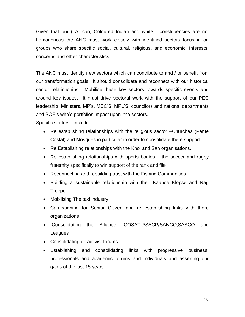Given that our ( African, Coloured Indian and white) constituencies are not homogenous the ANC must work closely with identified sectors focusing on groups who share specific social, cultural, religious, and economic, interests, concerns and other characteristics

The ANC must identify new sectors which can contribute to and / or benefit from our transformation goals. It should consolidate and reconnect with our historical sector relationships. Mobilise these key sectors towards specific events and around key issues. It must drive sectoral work with the support of our PEC leadership, Ministers, MP"s, MEC"S, MPL"S, councilors and national departments and SOE"s who"s portfolios impact upon the sectors.

Specific sectors include

- Re establishing relationships with the religious sector –Churches (Pente Costal) and Mosques in particular in order to consolidate there support
- Re Establishing relationships with the Khoi and San organisations.
- Re establishing relationships with sports bodies the soccer and rugby fraternity specifically to win support of the rank and file
- Reconnecting and rebuilding trust with the Fishing Communities
- Building a sustainable relationship with the Kaapse Klopse and Nag Troepe
- Mobilising The taxi industry
- Campaigning for Senior Citizen and re establishing links with there organizations
- Consolidating the Alliance -COSATU/SACP/SANCO,SASCO and **Leugues**
- Consolidating ex activist forums
- Establishing and consolidating links with progressive business, professionals and academic forums and individuals and asserting our gains of the last 15 years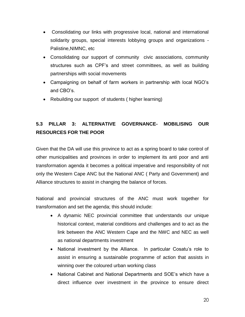- Consolidating our links with progressive local, national and international solidarity groups, special interests lobbying groups and organizations - Palistine,NIMNC, etc
- Consolidating our support of community civic associations, community structures such as CPF"s and street committees, as well as building partnerships with social movements
- Campaigning on behalf of farm workers in partnership with local NGO"s and CBO"s.
- Rebuilding our support of students ( higher learning)

## **5.3 PILLAR 3: ALTERNATIVE GOVERNANCE- MOBILISING OUR RESOURCES FOR THE POOR**

Given that the DA will use this province to act as a spring board to take control of other municipalities and provinces in order to implement its anti poor and anti transformation agenda it becomes a political imperative and responsibility of not only the Western Cape ANC but the National ANC ( Party and Government) and Alliance structures to assist in changing the balance of forces.

National and provincial structures of the ANC must work together for transformation and set the agenda; this should include:

- A dynamic NEC provincial committee that understands our unique historical context, material conditions and challenges and to act as the link between the ANC Western Cape and the NWC and NEC as well as national departments investment
- National investment by the Alliance. In particular Cosatu's role to assist in ensuring a sustainable programme of action that assists in winning over the coloured urban working class
- National Cabinet and National Departments and SOE"s which have a direct influence over investment in the province to ensure direct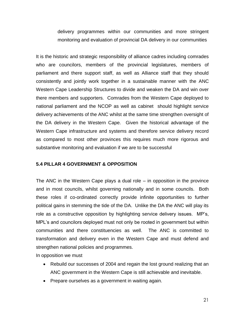delivery programmes within our communities and more stringent monitoring and evaluation of provincial DA delivery in our communities

It is the historic and strategic responsibility of alliance cadres including comrades who are councilors, members of the provincial legislatures, members of parliament and there support staff, as well as Alliance staff that they should consistently and jointly work together in a sustainable manner with the ANC Western Cape Leadership Structures to divide and weaken the DA and win over there members and supporters. Comrades from the Western Cape deployed to national parliament and the NCOP as well as cabinet should highlight service delivery achievements of the ANC whilst at the same time strengthen oversight of the DA delivery in the Western Cape. Given the historical advantage of the Western Cape infrastructure and systems and therefore service delivery record as compared to most other provinces this requires much more rigorous and substantive monitoring and evaluation if we are to be successful

#### **5.4 PILLAR 4 GOVERNMENT & OPPOSITION**

The ANC in the Western Cape plays a dual role – in opposition in the province and in most councils, whilst governing nationally and in some councils. Both these roles if co-ordinated correctly provide infinite opportunities to further political gains in stemming the tide of the DA. Unlike the DA the ANC will play its role as a constructive opposition by highlighting service delivery issues. MP"s, MPL's and councilors deployed must not only be rooted in government but within communities and there constituencies as well. The ANC is committed to transformation and delivery even in the Western Cape and must defend and strengthen national policies and programmes.

In opposition we must

- Rebuild our successes of 2004 and regain the lost ground realizing that an ANC government in the Western Cape is still achievable and inevitable.
- Prepare ourselves as a government in waiting again.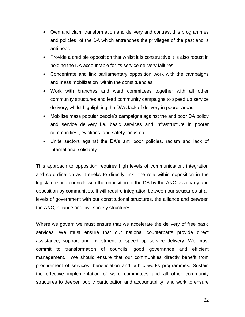- Own and claim transformation and delivery and contrast this programmes and policies of the DA which entrenches the privileges of the past and is anti poor.
- Provide a credible opposition that whilst it is constructive it is also robust in holding the DA accountable for its service delivery failures
- Concentrate and link parliamentary opposition work with the campaigns and mass mobilization within the constituencies
- Work with branches and ward committees together with all other community structures and lead community campaigns to speed up service delivery, whilst highlighting the DA"s lack of delivery in poorer areas.
- Mobilise mass popular people"s campaigns against the anti poor DA policy and service delivery i.e. basic services and infrastructure in poorer communities , evictions, and safety focus etc.
- Unite sectors against the DA"s anti poor policies, racism and lack of international solidarity

This approach to opposition requires high levels of communication, integration and co-ordination as it seeks to directly link the role within opposition in the legislature and councils with the opposition to the DA by the ANC as a party and opposition by communities. It will require integration between our structures at all levels of government with our constitutional structures, the alliance and between the ANC, alliance and civil society structures.

Where we govern we must ensure that we accelerate the delivery of free basic services. We must ensure that our national counterparts provide direct assistance, support and investment to speed up service delivery. We must commit to transformation of councils, good governance and efficient management. We should ensure that our communities directly benefit from procurement of services, beneficiation and public works programmes. Sustain the effective implementation of ward committees and all other community structures to deepen public participation and accountability and work to ensure